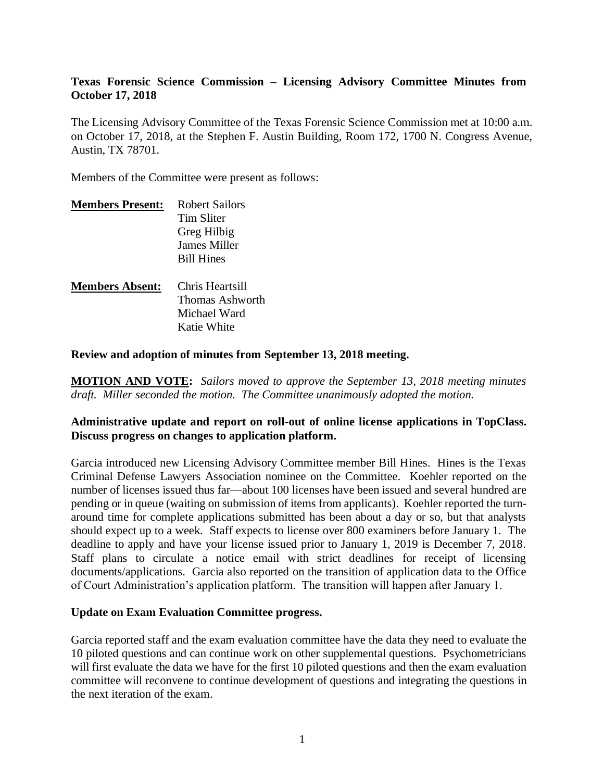# **Texas Forensic Science Commission – Licensing Advisory Committee Minutes from October 17, 2018**

The Licensing Advisory Committee of the Texas Forensic Science Commission met at 10:00 a.m. on October 17, 2018, at the Stephen F. Austin Building, Room 172, 1700 N. Congress Avenue, Austin, TX 78701.

Members of the Committee were present as follows:

| <b>Members Present:</b> | <b>Robert Sailors</b> |
|-------------------------|-----------------------|
|                         | Tim Sliter            |
|                         | Greg Hilbig           |
|                         | <b>James Miller</b>   |
|                         | <b>Bill Hines</b>     |
| <b>Members Absent:</b>  | Chris Heartsill       |
|                         | Thomas Ashworth       |
|                         | Michael Ward          |
|                         | Katie White           |
|                         |                       |

**Review and adoption of minutes from September 13, 2018 meeting.**

**MOTION AND VOTE:** *Sailors moved to approve the September 13, 2018 meeting minutes draft. Miller seconded the motion. The Committee unanimously adopted the motion.*

# **Administrative update and report on roll-out of online license applications in TopClass. Discuss progress on changes to application platform.**

Garcia introduced new Licensing Advisory Committee member Bill Hines. Hines is the Texas Criminal Defense Lawyers Association nominee on the Committee. Koehler reported on the number of licenses issued thus far—about 100 licenses have been issued and several hundred are pending or in queue (waiting on submission of items from applicants). Koehler reported the turnaround time for complete applications submitted has been about a day or so, but that analysts should expect up to a week. Staff expects to license over 800 examiners before January 1. The deadline to apply and have your license issued prior to January 1, 2019 is December 7, 2018. Staff plans to circulate a notice email with strict deadlines for receipt of licensing documents/applications. Garcia also reported on the transition of application data to the Office of Court Administration's application platform. The transition will happen after January 1.

### **Update on Exam Evaluation Committee progress.**

Garcia reported staff and the exam evaluation committee have the data they need to evaluate the 10 piloted questions and can continue work on other supplemental questions. Psychometricians will first evaluate the data we have for the first 10 piloted questions and then the exam evaluation committee will reconvene to continue development of questions and integrating the questions in the next iteration of the exam.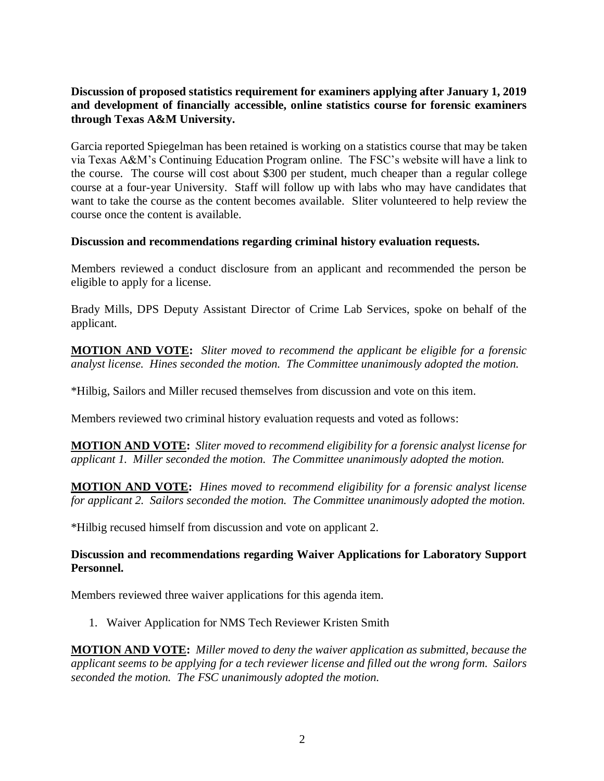# **Discussion of proposed statistics requirement for examiners applying after January 1, 2019 and development of financially accessible, online statistics course for forensic examiners through Texas A&M University.**

Garcia reported Spiegelman has been retained is working on a statistics course that may be taken via Texas A&M's Continuing Education Program online. The FSC's website will have a link to the course. The course will cost about \$300 per student, much cheaper than a regular college course at a four-year University. Staff will follow up with labs who may have candidates that want to take the course as the content becomes available. Sliter volunteered to help review the course once the content is available.

### **Discussion and recommendations regarding criminal history evaluation requests.**

Members reviewed a conduct disclosure from an applicant and recommended the person be eligible to apply for a license.

Brady Mills, DPS Deputy Assistant Director of Crime Lab Services, spoke on behalf of the applicant.

**MOTION AND VOTE:** *Sliter moved to recommend the applicant be eligible for a forensic analyst license. Hines seconded the motion. The Committee unanimously adopted the motion.*

\*Hilbig, Sailors and Miller recused themselves from discussion and vote on this item.

Members reviewed two criminal history evaluation requests and voted as follows:

**MOTION AND VOTE:** *Sliter moved to recommend eligibility for a forensic analyst license for applicant 1. Miller seconded the motion. The Committee unanimously adopted the motion.*

**MOTION AND VOTE:** *Hines moved to recommend eligibility for a forensic analyst license for applicant 2. Sailors seconded the motion. The Committee unanimously adopted the motion.*

\*Hilbig recused himself from discussion and vote on applicant 2.

# **Discussion and recommendations regarding Waiver Applications for Laboratory Support Personnel.**

Members reviewed three waiver applications for this agenda item.

1. Waiver Application for NMS Tech Reviewer Kristen Smith

**MOTION AND VOTE:** *Miller moved to deny the waiver application as submitted, because the applicant seems to be applying for a tech reviewer license and filled out the wrong form. Sailors seconded the motion. The FSC unanimously adopted the motion.*